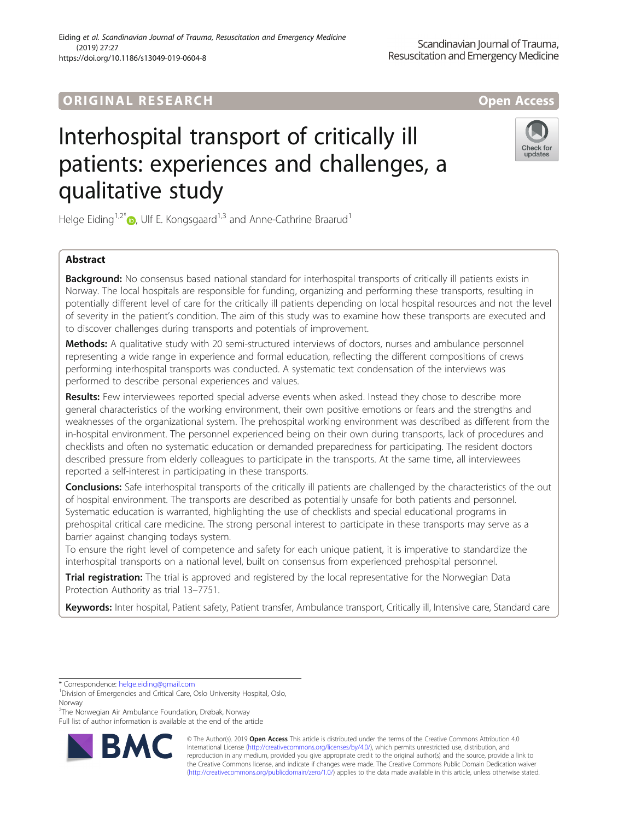## ORIGINA L R E S EA RCH Open Access

# Interhospital transport of critically ill patients: experiences and challenges, a qualitative study



Helge Eiding<sup>1[,](http://orcid.org/0000-0002-6836-0091)2\*</sup> $\bullet$ , Ulf E. Kongsgaard<sup>1,3</sup> and Anne-Cathrine Braarud<sup>1</sup>

### Abstract

Background: No consensus based national standard for interhospital transports of critically ill patients exists in Norway. The local hospitals are responsible for funding, organizing and performing these transports, resulting in potentially different level of care for the critically ill patients depending on local hospital resources and not the level of severity in the patient's condition. The aim of this study was to examine how these transports are executed and to discover challenges during transports and potentials of improvement.

Methods: A qualitative study with 20 semi-structured interviews of doctors, nurses and ambulance personnel representing a wide range in experience and formal education, reflecting the different compositions of crews performing interhospital transports was conducted. A systematic text condensation of the interviews was performed to describe personal experiences and values.

Results: Few interviewees reported special adverse events when asked. Instead they chose to describe more general characteristics of the working environment, their own positive emotions or fears and the strengths and weaknesses of the organizational system. The prehospital working environment was described as different from the in-hospital environment. The personnel experienced being on their own during transports, lack of procedures and checklists and often no systematic education or demanded preparedness for participating. The resident doctors described pressure from elderly colleagues to participate in the transports. At the same time, all interviewees reported a self-interest in participating in these transports.

Conclusions: Safe interhospital transports of the critically ill patients are challenged by the characteristics of the out of hospital environment. The transports are described as potentially unsafe for both patients and personnel. Systematic education is warranted, highlighting the use of checklists and special educational programs in prehospital critical care medicine. The strong personal interest to participate in these transports may serve as a barrier against changing todays system.

To ensure the right level of competence and safety for each unique patient, it is imperative to standardize the interhospital transports on a national level, built on consensus from experienced prehospital personnel.

Trial registration: The trial is approved and registered by the local representative for the Norwegian Data Protection Authority as trial 13–7751.

Keywords: Inter hospital, Patient safety, Patient transfer, Ambulance transport, Critically ill, Intensive care, Standard care

<sup>2</sup>The Norwegian Air Ambulance Foundation, Drøbak, Norway

Full list of author information is available at the end of the article



© The Author(s). 2019 **Open Access** This article is distributed under the terms of the Creative Commons Attribution 4.0 International License [\(http://creativecommons.org/licenses/by/4.0/](http://creativecommons.org/licenses/by/4.0/)), which permits unrestricted use, distribution, and reproduction in any medium, provided you give appropriate credit to the original author(s) and the source, provide a link to the Creative Commons license, and indicate if changes were made. The Creative Commons Public Domain Dedication waiver [\(http://creativecommons.org/publicdomain/zero/1.0/](http://creativecommons.org/publicdomain/zero/1.0/)) applies to the data made available in this article, unless otherwise stated.

<sup>\*</sup> Correspondence: [helge.eiding@gmail.com](mailto:helge.eiding@gmail.com) <sup>1</sup>

<sup>&</sup>lt;sup>1</sup> Division of Emergencies and Critical Care, Oslo University Hospital, Oslo, Norway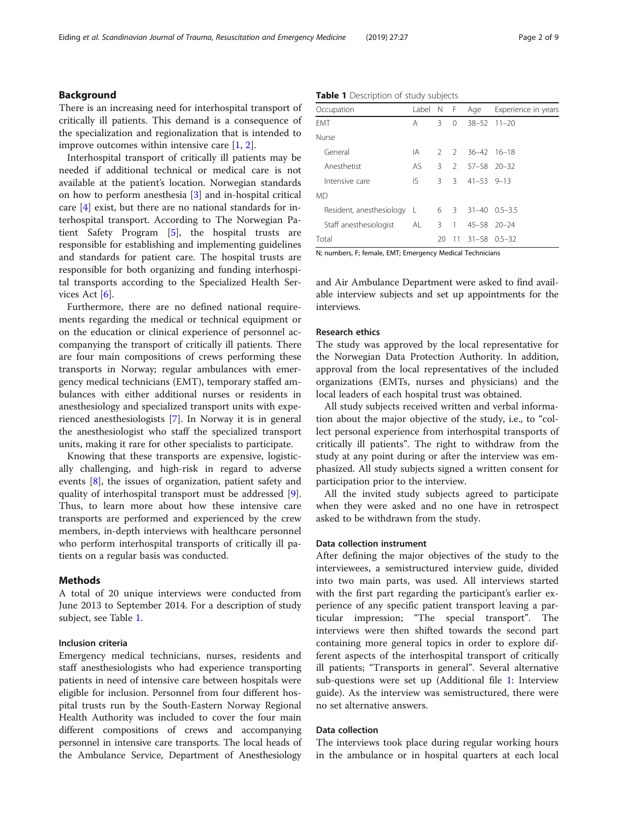#### <span id="page-1-0"></span>Background

There is an increasing need for interhospital transport of critically ill patients. This demand is a consequence of the specialization and regionalization that is intended to improve outcomes within intensive care [[1,](#page-8-0) [2\]](#page-8-0).

Interhospital transport of critically ill patients may be needed if additional technical or medical care is not available at the patient's location. Norwegian standards on how to perform anesthesia [[3](#page-8-0)] and in-hospital critical care [[4\]](#page-8-0) exist, but there are no national standards for interhospital transport. According to The Norwegian Patient Safety Program [[5](#page-8-0)], the hospital trusts are responsible for establishing and implementing guidelines and standards for patient care. The hospital trusts are responsible for both organizing and funding interhospital transports according to the Specialized Health Services Act [[6\]](#page-8-0).

Furthermore, there are no defined national requirements regarding the medical or technical equipment or on the education or clinical experience of personnel accompanying the transport of critically ill patients. There are four main compositions of crews performing these transports in Norway; regular ambulances with emergency medical technicians (EMT), temporary staffed ambulances with either additional nurses or residents in anesthesiology and specialized transport units with experienced anesthesiologists [\[7\]](#page-8-0). In Norway it is in general the anesthesiologist who staff the specialized transport units, making it rare for other specialists to participate.

Knowing that these transports are expensive, logistically challenging, and high-risk in regard to adverse events [[8](#page-8-0)], the issues of organization, patient safety and quality of interhospital transport must be addressed [\[9](#page-8-0)]. Thus, to learn more about how these intensive care transports are performed and experienced by the crew members, in-depth interviews with healthcare personnel who perform interhospital transports of critically ill patients on a regular basis was conducted.

#### Methods

A total of 20 unique interviews were conducted from June 2013 to September 2014. For a description of study subject, see Table 1.

#### Inclusion criteria

Emergency medical technicians, nurses, residents and staff anesthesiologists who had experience transporting patients in need of intensive care between hospitals were eligible for inclusion. Personnel from four different hospital trusts run by the South-Eastern Norway Regional Health Authority was included to cover the four main different compositions of crews and accompanying personnel in intensive care transports. The local heads of the Ambulance Service, Department of Anesthesiology

|  | Table 1 Description of study subjects |  |  |
|--|---------------------------------------|--|--|
|--|---------------------------------------|--|--|

|     |                            |   |                             | Experience in years                                                                                                                           |
|-----|----------------------------|---|-----------------------------|-----------------------------------------------------------------------------------------------------------------------------------------------|
| Α   | 3                          | 0 |                             | $38 - 52$ $11 - 20$                                                                                                                           |
|     |                            |   |                             |                                                                                                                                               |
| IA  |                            |   |                             |                                                                                                                                               |
| AS. | $\overline{3}$             |   |                             |                                                                                                                                               |
| IS  | 3                          |   |                             |                                                                                                                                               |
|     |                            |   |                             |                                                                                                                                               |
|     |                            |   |                             |                                                                                                                                               |
| AL  | 3                          |   |                             | 45-58 20-24                                                                                                                                   |
|     | 20                         |   |                             |                                                                                                                                               |
|     | Resident, anesthesiology L |   | Label N F<br>$\blacksquare$ | Age<br>$2 \quad 2 \quad 36-42 \quad 16-18$<br>2 57–58 20–32<br>$-3$ 41-53 9-13<br>$6\quad 3\quad 31-40\quad 0.5-3.5$<br>$11$ $31-58$ $0.5-32$ |

N; numbers, F; female, EMT; Emergency Medical Technicians

and Air Ambulance Department were asked to find available interview subjects and set up appointments for the interviews.

#### Research ethics

The study was approved by the local representative for the Norwegian Data Protection Authority. In addition, approval from the local representatives of the included organizations (EMTs, nurses and physicians) and the local leaders of each hospital trust was obtained.

All study subjects received written and verbal information about the major objective of the study, i.e., to "collect personal experience from interhospital transports of critically ill patients". The right to withdraw from the study at any point during or after the interview was emphasized. All study subjects signed a written consent for participation prior to the interview.

All the invited study subjects agreed to participate when they were asked and no one have in retrospect asked to be withdrawn from the study.

#### Data collection instrument

After defining the major objectives of the study to the interviewees, a semistructured interview guide, divided into two main parts, was used. All interviews started with the first part regarding the participant's earlier experience of any specific patient transport leaving a particular impression; "The special transport". The interviews were then shifted towards the second part containing more general topics in order to explore different aspects of the interhospital transport of critically ill patients; "Transports in general". Several alternative sub-questions were set up (Additional file [1](#page-7-0): Interview guide). As the interview was semistructured, there were no set alternative answers.

#### Data collection

The interviews took place during regular working hours in the ambulance or in hospital quarters at each local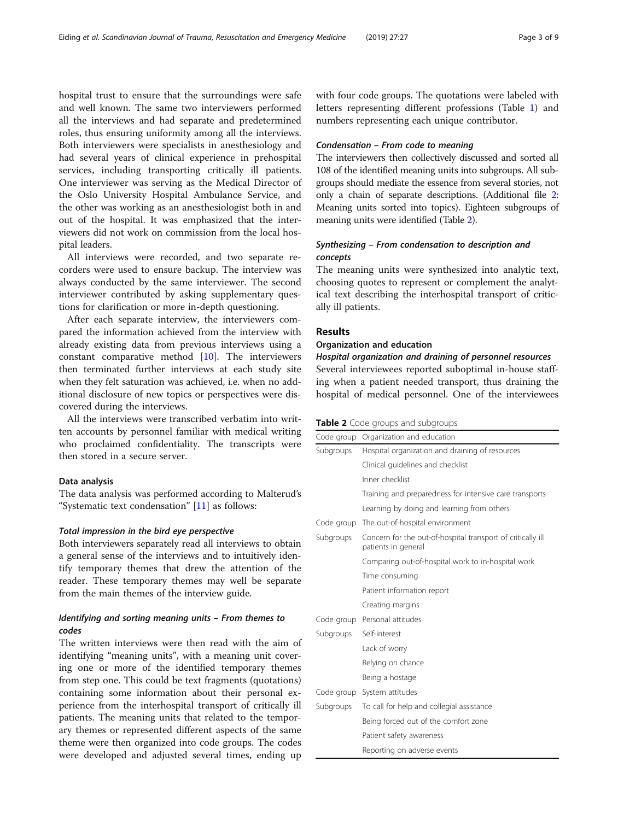and well known. The same two interviewers performed all the interviews and had separate and predetermined roles, thus ensuring uniformity among all the interviews. Both interviewers were specialists in anesthesiology and had several years of clinical experience in prehospital services, including transporting critically ill patients. One interviewer was serving as the Medical Director of the Oslo University Hospital Ambulance Service, and the other was working as an anesthesiologist both in and out of the hospital. It was emphasized that the interviewers did not work on commission from the local hospital leaders.

All interviews were recorded, and two separate recorders were used to ensure backup. The interview was always conducted by the same interviewer. The second interviewer contributed by asking supplementary questions for clarification or more in-depth questioning.

After each separate interview, the interviewers compared the information achieved from the interview with already existing data from previous interviews using a constant comparative method [\[10](#page-8-0)]. The interviewers then terminated further interviews at each study site when they felt saturation was achieved, i.e. when no additional disclosure of new topics or perspectives were discovered during the interviews.

All the interviews were transcribed verbatim into written accounts by personnel familiar with medical writing who proclaimed confidentiality. The transcripts were then stored in a secure server.

#### Data analysis

The data analysis was performed according to Malterud's "Systematic text condensation" [\[11](#page-8-0)] as follows:

#### Total impression in the bird eye perspective

Both interviewers separately read all interviews to obtain a general sense of the interviews and to intuitively identify temporary themes that drew the attention of the reader. These temporary themes may well be separate from the main themes of the interview guide.

#### Identifying and sorting meaning units – From themes to codes

The written interviews were then read with the aim of identifying "meaning units", with a meaning unit covering one or more of the identified temporary themes from step one. This could be text fragments (quotations) containing some information about their personal experience from the interhospital transport of critically ill patients. The meaning units that related to the temporary themes or represented different aspects of the same theme were then organized into code groups. The codes were developed and adjusted several times, ending up

with four code groups. The quotations were labeled with letters representing different professions (Table [1\)](#page-1-0) and numbers representing each unique contributor.

#### Condensation – From code to meaning

The interviewers then collectively discussed and sorted all 108 of the identified meaning units into subgroups. All subgroups should mediate the essence from several stories, not only a chain of separate descriptions. (Additional file [2](#page-7-0): Meaning units sorted into topics). Eighteen subgroups of meaning units were identified (Table 2).

#### Synthesizing – From condensation to description and concepts

The meaning units were synthesized into analytic text, choosing quotes to represent or complement the analytical text describing the interhospital transport of critically ill patients.

#### Results

#### Organization and education

#### Hospital organization and draining of personnel resources

Several interviewees reported suboptimal in-house staffing when a patient needed transport, thus draining the hospital of medical personnel. One of the interviewees

| Table 2 Code groups and subgroups |  |  |  |
|-----------------------------------|--|--|--|
|-----------------------------------|--|--|--|

|           | Code group Organization and education                                              |  |
|-----------|------------------------------------------------------------------------------------|--|
| Subgroups | Hospital organization and draining of resources                                    |  |
|           | Clinical guidelines and checklist                                                  |  |
|           | Inner checklist                                                                    |  |
|           | Training and preparedness for intensive care transports                            |  |
|           | Learning by doing and learning from others                                         |  |
|           | Code group The out-of-hospital environment                                         |  |
| Subgroups | Concern for the out-of-hospital transport of critically ill<br>patients in general |  |
|           | Comparing out-of-hospital work to in-hospital work                                 |  |
|           | Time consuming                                                                     |  |
|           | Patient information report                                                         |  |
|           | Creating margins                                                                   |  |
|           | Code group Personal attitudes                                                      |  |
| Subgroups | Self-interest                                                                      |  |
|           | Lack of worry                                                                      |  |
|           | Relying on chance                                                                  |  |
|           | Being a hostage                                                                    |  |
|           | Code group System attitudes                                                        |  |
| Subgroups | To call for help and collegial assistance                                          |  |
|           | Being forced out of the comfort zone                                               |  |
|           | Patient safety awareness                                                           |  |
|           | Reporting on adverse events                                                        |  |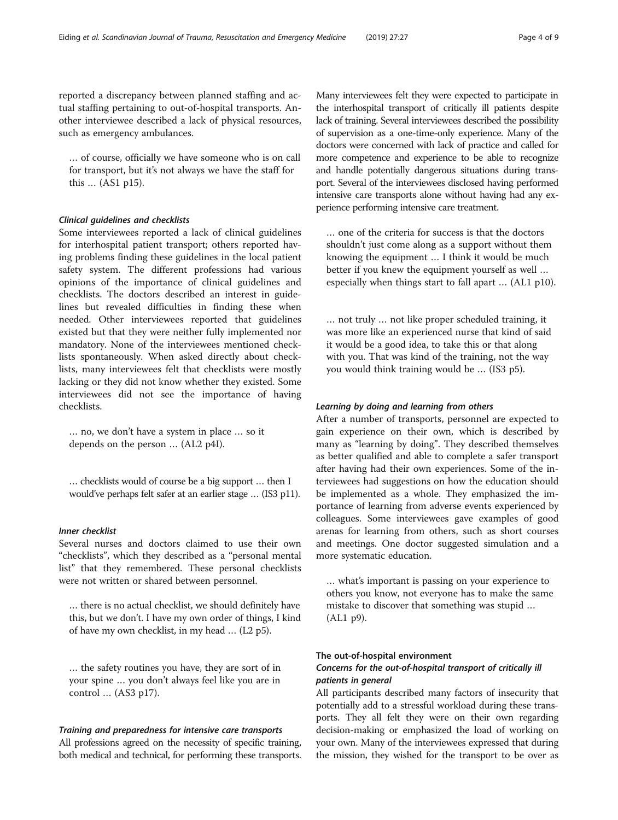reported a discrepancy between planned staffing and actual staffing pertaining to out-of-hospital transports. Another interviewee described a lack of physical resources, such as emergency ambulances.

… of course, officially we have someone who is on call for transport, but it's not always we have the staff for this … (AS1 p15).

#### Clinical guidelines and checklists

Some interviewees reported a lack of clinical guidelines for interhospital patient transport; others reported having problems finding these guidelines in the local patient safety system. The different professions had various opinions of the importance of clinical guidelines and checklists. The doctors described an interest in guidelines but revealed difficulties in finding these when needed. Other interviewees reported that guidelines existed but that they were neither fully implemented nor mandatory. None of the interviewees mentioned checklists spontaneously. When asked directly about checklists, many interviewees felt that checklists were mostly lacking or they did not know whether they existed. Some interviewees did not see the importance of having checklists.

… no, we don't have a system in place … so it depends on the person … (AL2 p4I).

… checklists would of course be a big support … then I would've perhaps felt safer at an earlier stage … (IS3 p11).

#### Inner checklist

Several nurses and doctors claimed to use their own "checklists", which they described as a "personal mental list" that they remembered. These personal checklists were not written or shared between personnel.

… there is no actual checklist, we should definitely have this, but we don't. I have my own order of things, I kind of have my own checklist, in my head … (L2 p5).

… the safety routines you have, they are sort of in your spine … you don't always feel like you are in control … (AS3 p17).

#### Training and preparedness for intensive care transports All professions agreed on the necessity of specific training, both medical and technical, for performing these transports.

Many interviewees felt they were expected to participate in the interhospital transport of critically ill patients despite lack of training. Several interviewees described the possibility of supervision as a one-time-only experience. Many of the doctors were concerned with lack of practice and called for more competence and experience to be able to recognize and handle potentially dangerous situations during transport. Several of the interviewees disclosed having performed intensive care transports alone without having had any experience performing intensive care treatment.

… one of the criteria for success is that the doctors shouldn't just come along as a support without them knowing the equipment … I think it would be much better if you knew the equipment yourself as well … especially when things start to fall apart … (AL1 p10).

… not truly … not like proper scheduled training, it was more like an experienced nurse that kind of said it would be a good idea, to take this or that along with you. That was kind of the training, not the way you would think training would be … (IS3 p5).

#### Learning by doing and learning from others

After a number of transports, personnel are expected to gain experience on their own, which is described by many as "learning by doing". They described themselves as better qualified and able to complete a safer transport after having had their own experiences. Some of the interviewees had suggestions on how the education should be implemented as a whole. They emphasized the importance of learning from adverse events experienced by colleagues. Some interviewees gave examples of good arenas for learning from others, such as short courses and meetings. One doctor suggested simulation and a more systematic education.

… what's important is passing on your experience to others you know, not everyone has to make the same mistake to discover that something was stupid … (AL1 p9).

#### The out-of-hospital environment

#### Concerns for the out-of-hospital transport of critically ill patients in general

All participants described many factors of insecurity that potentially add to a stressful workload during these transports. They all felt they were on their own regarding decision-making or emphasized the load of working on your own. Many of the interviewees expressed that during the mission, they wished for the transport to be over as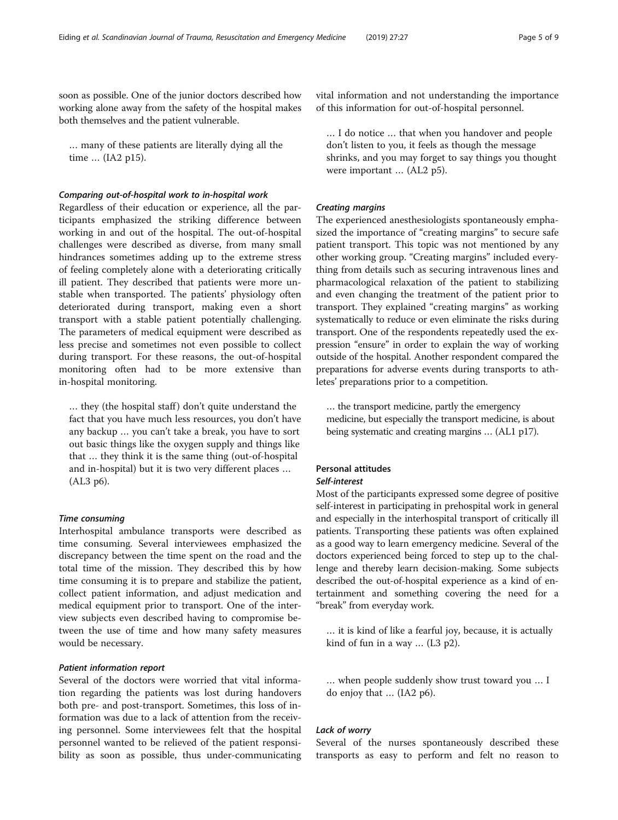soon as possible. One of the junior doctors described how working alone away from the safety of the hospital makes both themselves and the patient vulnerable.

… many of these patients are literally dying all the time … (IA2 p15).

#### Comparing out-of-hospital work to in-hospital work

Regardless of their education or experience, all the participants emphasized the striking difference between working in and out of the hospital. The out-of-hospital challenges were described as diverse, from many small hindrances sometimes adding up to the extreme stress of feeling completely alone with a deteriorating critically ill patient. They described that patients were more unstable when transported. The patients' physiology often deteriorated during transport, making even a short transport with a stable patient potentially challenging. The parameters of medical equipment were described as less precise and sometimes not even possible to collect during transport. For these reasons, the out-of-hospital monitoring often had to be more extensive than in-hospital monitoring.

... they (the hospital staff) don't quite understand the fact that you have much less resources, you don't have any backup … you can't take a break, you have to sort out basic things like the oxygen supply and things like that … they think it is the same thing (out-of-hospital and in-hospital) but it is two very different places … (AL3 p6).

#### Time consuming

Interhospital ambulance transports were described as time consuming. Several interviewees emphasized the discrepancy between the time spent on the road and the total time of the mission. They described this by how time consuming it is to prepare and stabilize the patient, collect patient information, and adjust medication and medical equipment prior to transport. One of the interview subjects even described having to compromise between the use of time and how many safety measures would be necessary.

#### Patient information report

Several of the doctors were worried that vital information regarding the patients was lost during handovers both pre- and post-transport. Sometimes, this loss of information was due to a lack of attention from the receiving personnel. Some interviewees felt that the hospital personnel wanted to be relieved of the patient responsibility as soon as possible, thus under-communicating vital information and not understanding the importance of this information for out-of-hospital personnel.

… I do notice … that when you handover and people don't listen to you, it feels as though the message shrinks, and you may forget to say things you thought were important … (AL2 p5).

#### Creating margins

The experienced anesthesiologists spontaneously emphasized the importance of "creating margins" to secure safe patient transport. This topic was not mentioned by any other working group. "Creating margins" included everything from details such as securing intravenous lines and pharmacological relaxation of the patient to stabilizing and even changing the treatment of the patient prior to transport. They explained "creating margins" as working systematically to reduce or even eliminate the risks during transport. One of the respondents repeatedly used the expression "ensure" in order to explain the way of working outside of the hospital. Another respondent compared the preparations for adverse events during transports to athletes' preparations prior to a competition.

… the transport medicine, partly the emergency medicine, but especially the transport medicine, is about being systematic and creating margins … (AL1 p17).

#### Personal attitudes Self-interest

Most of the participants expressed some degree of positive self-interest in participating in prehospital work in general and especially in the interhospital transport of critically ill patients. Transporting these patients was often explained as a good way to learn emergency medicine. Several of the doctors experienced being forced to step up to the challenge and thereby learn decision-making. Some subjects described the out-of-hospital experience as a kind of entertainment and something covering the need for a "break" from everyday work.

… it is kind of like a fearful joy, because, it is actually kind of fun in a way … (L3 p2).

… when people suddenly show trust toward you … I do enjoy that … (IA2 p6).

#### Lack of worry

Several of the nurses spontaneously described these transports as easy to perform and felt no reason to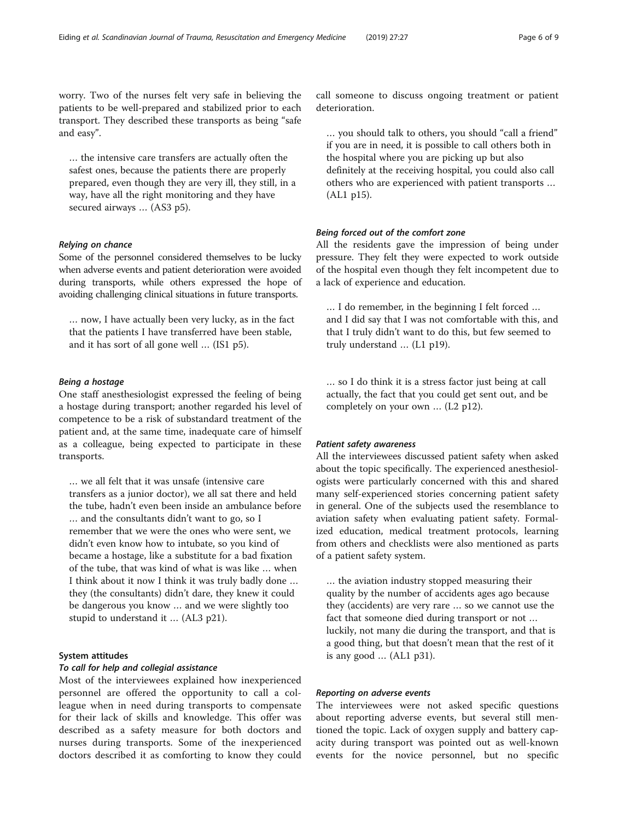… the intensive care transfers are actually often the safest ones, because the patients there are properly prepared, even though they are very ill, they still, in a way, have all the right monitoring and they have secured airways ... (AS3 p5).

#### Relying on chance

Some of the personnel considered themselves to be lucky when adverse events and patient deterioration were avoided during transports, while others expressed the hope of avoiding challenging clinical situations in future transports.

… now, I have actually been very lucky, as in the fact that the patients I have transferred have been stable, and it has sort of all gone well … (IS1 p5).

#### Being a hostage

One staff anesthesiologist expressed the feeling of being a hostage during transport; another regarded his level of competence to be a risk of substandard treatment of the patient and, at the same time, inadequate care of himself as a colleague, being expected to participate in these transports.

… we all felt that it was unsafe (intensive care transfers as a junior doctor), we all sat there and held the tube, hadn't even been inside an ambulance before … and the consultants didn't want to go, so I remember that we were the ones who were sent, we didn't even know how to intubate, so you kind of became a hostage, like a substitute for a bad fixation of the tube, that was kind of what is was like … when I think about it now I think it was truly badly done … they (the consultants) didn't dare, they knew it could be dangerous you know … and we were slightly too stupid to understand it … (AL3 p21).

#### System attitudes

#### To call for help and collegial assistance

Most of the interviewees explained how inexperienced personnel are offered the opportunity to call a colleague when in need during transports to compensate for their lack of skills and knowledge. This offer was described as a safety measure for both doctors and nurses during transports. Some of the inexperienced doctors described it as comforting to know they could

call someone to discuss ongoing treatment or patient deterioration.

… you should talk to others, you should "call a friend" if you are in need, it is possible to call others both in the hospital where you are picking up but also definitely at the receiving hospital, you could also call others who are experienced with patient transports … (AL1 p15).

#### Being forced out of the comfort zone

All the residents gave the impression of being under pressure. They felt they were expected to work outside of the hospital even though they felt incompetent due to a lack of experience and education.

… I do remember, in the beginning I felt forced … and I did say that I was not comfortable with this, and that I truly didn't want to do this, but few seemed to truly understand … (L1 p19).

… so I do think it is a stress factor just being at call actually, the fact that you could get sent out, and be completely on your own … (L2 p12).

#### Patient safety awareness

All the interviewees discussed patient safety when asked about the topic specifically. The experienced anesthesiologists were particularly concerned with this and shared many self-experienced stories concerning patient safety in general. One of the subjects used the resemblance to aviation safety when evaluating patient safety. Formalized education, medical treatment protocols, learning from others and checklists were also mentioned as parts of a patient safety system.

… the aviation industry stopped measuring their quality by the number of accidents ages ago because they (accidents) are very rare … so we cannot use the fact that someone died during transport or not … luckily, not many die during the transport, and that is a good thing, but that doesn't mean that the rest of it is any good … (AL1 p31).

#### Reporting on adverse events

The interviewees were not asked specific questions about reporting adverse events, but several still mentioned the topic. Lack of oxygen supply and battery capacity during transport was pointed out as well-known events for the novice personnel, but no specific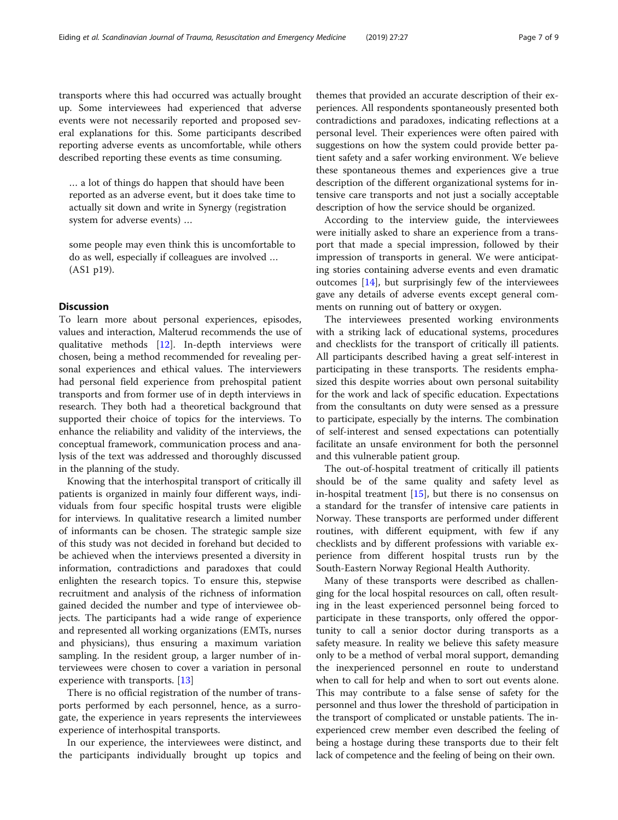transports where this had occurred was actually brought up. Some interviewees had experienced that adverse events were not necessarily reported and proposed several explanations for this. Some participants described reporting adverse events as uncomfortable, while others described reporting these events as time consuming.

… a lot of things do happen that should have been reported as an adverse event, but it does take time to actually sit down and write in Synergy (registration system for adverse events) …

some people may even think this is uncomfortable to do as well, especially if colleagues are involved … (AS1 p19).

#### **Discussion**

To learn more about personal experiences, episodes, values and interaction, Malterud recommends the use of qualitative methods [[12\]](#page-8-0). In-depth interviews were chosen, being a method recommended for revealing personal experiences and ethical values. The interviewers had personal field experience from prehospital patient transports and from former use of in depth interviews in research. They both had a theoretical background that supported their choice of topics for the interviews. To enhance the reliability and validity of the interviews, the conceptual framework, communication process and analysis of the text was addressed and thoroughly discussed in the planning of the study.

Knowing that the interhospital transport of critically ill patients is organized in mainly four different ways, individuals from four specific hospital trusts were eligible for interviews. In qualitative research a limited number of informants can be chosen. The strategic sample size of this study was not decided in forehand but decided to be achieved when the interviews presented a diversity in information, contradictions and paradoxes that could enlighten the research topics. To ensure this, stepwise recruitment and analysis of the richness of information gained decided the number and type of interviewee objects. The participants had a wide range of experience and represented all working organizations (EMTs, nurses and physicians), thus ensuring a maximum variation sampling. In the resident group, a larger number of interviewees were chosen to cover a variation in personal experience with transports. [[13\]](#page-8-0)

There is no official registration of the number of transports performed by each personnel, hence, as a surrogate, the experience in years represents the interviewees experience of interhospital transports.

In our experience, the interviewees were distinct, and the participants individually brought up topics and

themes that provided an accurate description of their experiences. All respondents spontaneously presented both contradictions and paradoxes, indicating reflections at a personal level. Their experiences were often paired with suggestions on how the system could provide better patient safety and a safer working environment. We believe these spontaneous themes and experiences give a true description of the different organizational systems for intensive care transports and not just a socially acceptable description of how the service should be organized.

According to the interview guide, the interviewees were initially asked to share an experience from a transport that made a special impression, followed by their impression of transports in general. We were anticipating stories containing adverse events and even dramatic outcomes [[14](#page-8-0)], but surprisingly few of the interviewees gave any details of adverse events except general comments on running out of battery or oxygen.

The interviewees presented working environments with a striking lack of educational systems, procedures and checklists for the transport of critically ill patients. All participants described having a great self-interest in participating in these transports. The residents emphasized this despite worries about own personal suitability for the work and lack of specific education. Expectations from the consultants on duty were sensed as a pressure to participate, especially by the interns. The combination of self-interest and sensed expectations can potentially facilitate an unsafe environment for both the personnel and this vulnerable patient group.

The out-of-hospital treatment of critically ill patients should be of the same quality and safety level as in-hospital treatment [[15](#page-8-0)], but there is no consensus on a standard for the transfer of intensive care patients in Norway. These transports are performed under different routines, with different equipment, with few if any checklists and by different professions with variable experience from different hospital trusts run by the South-Eastern Norway Regional Health Authority.

Many of these transports were described as challenging for the local hospital resources on call, often resulting in the least experienced personnel being forced to participate in these transports, only offered the opportunity to call a senior doctor during transports as a safety measure. In reality we believe this safety measure only to be a method of verbal moral support, demanding the inexperienced personnel en route to understand when to call for help and when to sort out events alone. This may contribute to a false sense of safety for the personnel and thus lower the threshold of participation in the transport of complicated or unstable patients. The inexperienced crew member even described the feeling of being a hostage during these transports due to their felt lack of competence and the feeling of being on their own.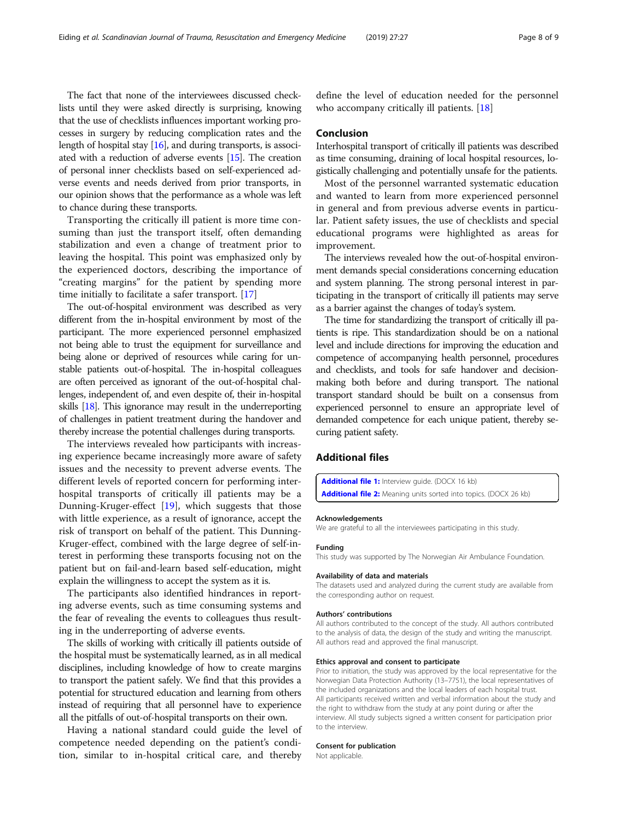<span id="page-7-0"></span>The fact that none of the interviewees discussed checklists until they were asked directly is surprising, knowing that the use of checklists influences important working processes in surgery by reducing complication rates and the length of hospital stay [\[16\]](#page-8-0), and during transports, is associated with a reduction of adverse events [\[15\]](#page-8-0). The creation of personal inner checklists based on self-experienced adverse events and needs derived from prior transports, in our opinion shows that the performance as a whole was left to chance during these transports.

Transporting the critically ill patient is more time consuming than just the transport itself, often demanding stabilization and even a change of treatment prior to leaving the hospital. This point was emphasized only by the experienced doctors, describing the importance of "creating margins" for the patient by spending more time initially to facilitate a safer transport. [\[17\]](#page-8-0)

The out-of-hospital environment was described as very different from the in-hospital environment by most of the participant. The more experienced personnel emphasized not being able to trust the equipment for surveillance and being alone or deprived of resources while caring for unstable patients out-of-hospital. The in-hospital colleagues are often perceived as ignorant of the out-of-hospital challenges, independent of, and even despite of, their in-hospital skills [[18\]](#page-8-0). This ignorance may result in the underreporting of challenges in patient treatment during the handover and thereby increase the potential challenges during transports.

The interviews revealed how participants with increasing experience became increasingly more aware of safety issues and the necessity to prevent adverse events. The different levels of reported concern for performing interhospital transports of critically ill patients may be a Dunning-Kruger-effect [[19](#page-8-0)], which suggests that those with little experience, as a result of ignorance, accept the risk of transport on behalf of the patient. This Dunning-Kruger-effect, combined with the large degree of self-interest in performing these transports focusing not on the patient but on fail-and-learn based self-education, might explain the willingness to accept the system as it is.

The participants also identified hindrances in reporting adverse events, such as time consuming systems and the fear of revealing the events to colleagues thus resulting in the underreporting of adverse events.

The skills of working with critically ill patients outside of the hospital must be systematically learned, as in all medical disciplines, including knowledge of how to create margins to transport the patient safely. We find that this provides a potential for structured education and learning from others instead of requiring that all personnel have to experience all the pitfalls of out-of-hospital transports on their own.

Having a national standard could guide the level of competence needed depending on the patient's condition, similar to in-hospital critical care, and thereby

define the level of education needed for the personnel who accompany critically ill patients. [[18](#page-8-0)]

#### Conclusion

Interhospital transport of critically ill patients was described as time consuming, draining of local hospital resources, logistically challenging and potentially unsafe for the patients.

Most of the personnel warranted systematic education and wanted to learn from more experienced personnel in general and from previous adverse events in particular. Patient safety issues, the use of checklists and special educational programs were highlighted as areas for improvement.

The interviews revealed how the out-of-hospital environment demands special considerations concerning education and system planning. The strong personal interest in participating in the transport of critically ill patients may serve as a barrier against the changes of today's system.

The time for standardizing the transport of critically ill patients is ripe. This standardization should be on a national level and include directions for improving the education and competence of accompanying health personnel, procedures and checklists, and tools for safe handover and decisionmaking both before and during transport. The national transport standard should be built on a consensus from experienced personnel to ensure an appropriate level of demanded competence for each unique patient, thereby securing patient safety.

#### Additional files

[Additional file 1:](https://doi.org/10.1186/s13049-019-0604-8) Interview guide. (DOCX 16 kb) [Additional file 2:](https://doi.org/10.1186/s13049-019-0604-8) Meaning units sorted into topics. (DOCX 26 kb)

#### Acknowledgements

We are grateful to all the interviewees participating in this study.

#### Funding

This study was supported by The Norwegian Air Ambulance Foundation.

#### Availability of data and materials

The datasets used and analyzed during the current study are available from the corresponding author on request.

#### Authors' contributions

All authors contributed to the concept of the study. All authors contributed to the analysis of data, the design of the study and writing the manuscript. All authors read and approved the final manuscript.

#### Ethics approval and consent to participate

Prior to initiation, the study was approved by the local representative for the Norwegian Data Protection Authority (13–7751), the local representatives of the included organizations and the local leaders of each hospital trust. All participants received written and verbal information about the study and the right to withdraw from the study at any point during or after the interview. All study subjects signed a written consent for participation prior to the interview.

#### Consent for publication

Not applicable.